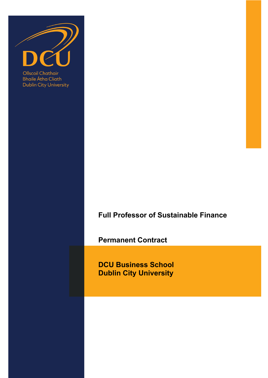

**Bhaile Átha Cliath Dublin City University** 

# **Full Professor of Sustainable Finance**

**Permanent Contract** 

**DCU Business School Dublin City University**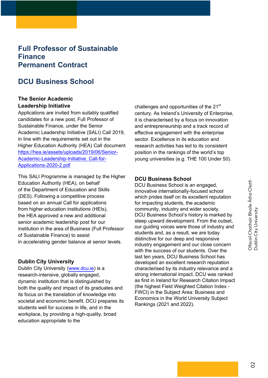## **Full Professor of Sustainable Finance Permanent Contract**

## **DCU Business School**

## **The Senior Academic Leadership Initiative**

Applications are invited from suitably qualified candidates for a new post, Full Professor of Sustainable Finance, under the Senior Academic Leadership Initiative (SALI) Call 2019, in line with the requirements set out in the Higher Education Authority (HEA) Call document [https://hea.ie/assets/uploads/2019/06/Senior-](https://hea.ie/assets/uploads/2019/06/Senior-Academic-Leadership-Initiative_Call-for-Applications-2020-2.pdf)Academic-Leadership-Initiative\_Call-for-Applications-2020-2.pdf

This SALI Programme is managed by the Higher Education Authority (HEA), on behalf of the Department of Education and Skills (DES). Following a competitive process based on an annual Call for applications from higher education institutions (HEIs), the HEA approved a new and additional senior academic leadership post for our institution in the area of Business (Full Professor of Sustainable Finance) to assist in accelerating gender balance at senior levels.

#### **Dublin City University**

Dublin City University [\(www.dcu.ie\)](https://www.dcu.ie) is a research-intensive, globally engaged, dynamic institution that is distinguished by both the quality and impact of its graduates and its focus on the translation of knowledge into societal and economic benefit. DCU prepares its students well for success in life, and in the workplace, by providing a high-quality, broad education appropriate to the

challenges and opportunities of the 21<sup>st</sup> century. As Ireland's University of Enterprise, it is characterised by a focus on innovation and entrepreneurship and a track record of effective engagement with the enterprise sector. Excellence in its education and research activities has led to its consistent position in the rankings of the world's top young universities (e.g. THE 100 Under 50).

#### **DCU Business School**

DCU Business School is an engaged, innovative internationally-focused school which prides itself on its excellent reputation for impacting students, the academic community, industry and wider society. DCU Business School's history is marked by steep upward development. From the outset, our guiding voices were those of industry and students and, as a result, we are today distinctive for our deep and responsive industry engagement and our close concern with the success of our students. Over the last ten years, DCU Business School has developed an excellent research reputation characterised by its industry relevance and a strong international impact. DCU was ranked as first in Ireland for Research Citation Impact (the highest Field Weighted Citation Index - FWCI) in the Subject Area: Business and Economics in the World University Subject Rankings (2021 and 2022).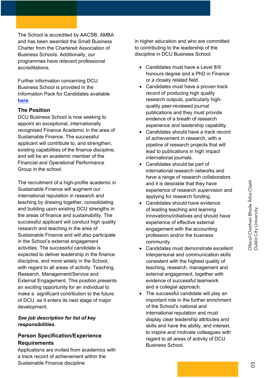The School is accredited by AACSB, AMBA and has been awarded the Small Business Charter from the Chartered Association of Business Schools. Additionally, our programmes have relevant professional accreditations.

Further information concerning DCU Business School is provided in the [Informatio](https://business.dcu.ie/wp-content/uploads/2021/12/Recruitment-Brochure-2022.pdf)n Pack for Candidates available **here**.

#### **The Position**

DCU Business School is now seeking to appoint an exceptional, internationally recognised Finance Academic in the area of Sustainable Finance. The successful applicant will contribute to, and strengthen, existing capabilities of the finance discipline, and will be an academic member of the Financial and Operational Performance Group in the school.

The recruitment of a high-profile academic in Sustainable Finance will augment our international reputation in research and teaching by drawing together, consolidating and building upon existing DCU strengths in the areas of finance and sustainability. The successful applicant will conduct high quality research and teaching in the area of Sustainable Finance and will also participate in the School's external engagement activities. The successful candidate is expected to deliver leadership in the finance discipline, and more widely in the School, with regard to all areas of activity: Teaching, Research, Management/Service and External Engagement. This position presents an exciting opportunity for an individual to make a significant contribution to the future of DCU as it enters its next stage of major development.

## *See job description for list of key responsibilities.*

## **Person Specification/Experience Requirements**

Applications are invited from academics with a track record of achievement within the Sustainable Finance discipline

in higher education and who are committed to contributing to the leadership of the discipline in DCU Business School.

- Candidates must have a Level 8/9 honours degree and a PhD in Finance or a closely related field.
- Candidates must have a proven track record of producing high quality research outputs, particularly highquality peer-reviewed journal publications and they must provide evidence of a breath of research experience and leadership capability.
- Candidates should have a track record of achievement in research, with a pipeline of research projects that will lead to publications in high impact international journals.
- Candidates should be part of international research networks and have a range of research collaborators and it is desirable that they have experience of research supervision and applying for research funding.
- Candidates should have evidence of leading teaching and learning innovations/initiatives and should have experience of effective external engagement with the accounting profession and/or the business community.
- Candidates must demonstrate excellent interpersonal and communication skills consistent with the highest quality of teaching, research, management and external engagement, together with evidence of successful teamwork and a collegial approach.
- The successful candidate will play an important role in the further enrichment of the School's national and international reputation and must display clear leadership attributes and skills and have the ability, and interest, to inspire and motivate colleagues with regard to all areas of activity of DCU Business School.